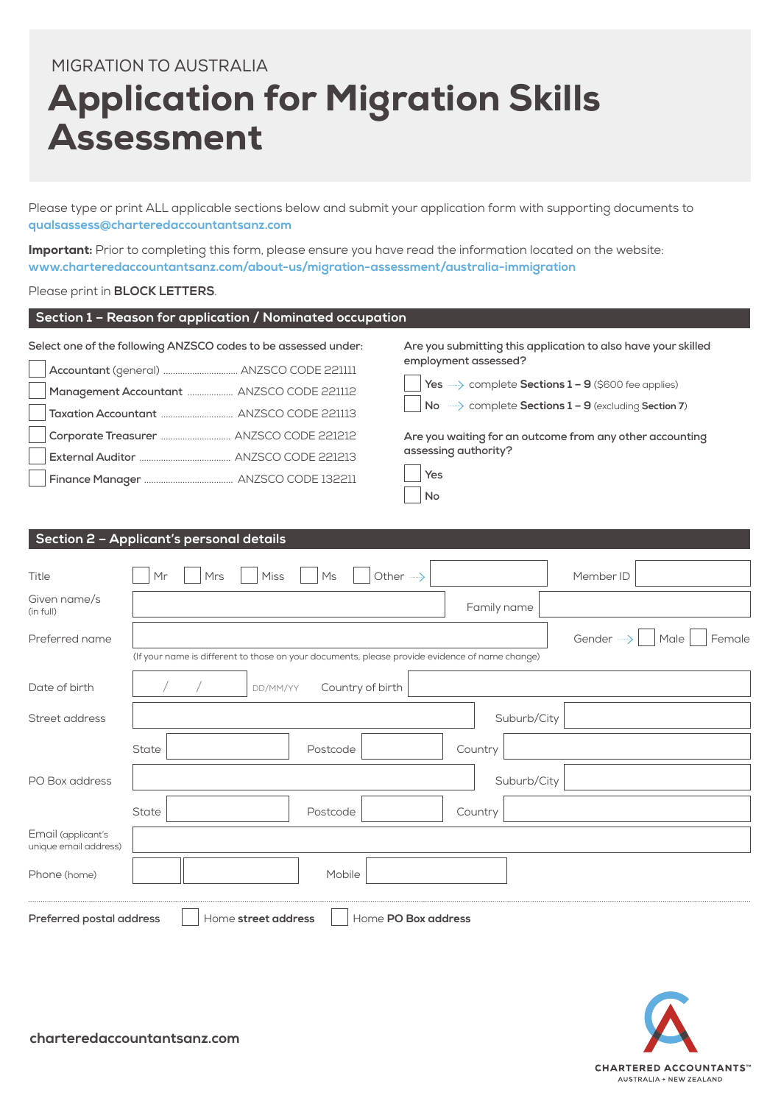# MIGRATION TO AUSTRALIA Application for Migration Skills Assessment

Please type or print ALL applicable sections below and submit your application form with supporting documents to **[qualsassess@charteredaccountantsanz.com](mailto:qualsassess%40charteredaccountantsanz.com?subject=)**

Important: Prior to completing this form, please ensure you have read the information located on the website: **[www.charteredaccountantsanz.com/about-us/migration-assessment/australia-immigration](https://www.charteredaccountantsanz.com/about-us/migration-assessment/australia-immigration)**

#### Please print in **BLOCK LETTERS**.

| Section 1 – Reason for application / Nominated occupation                                                   |                                                                                                                                                                                                                                      |
|-------------------------------------------------------------------------------------------------------------|--------------------------------------------------------------------------------------------------------------------------------------------------------------------------------------------------------------------------------------|
| Select one of the following ANZSCO codes to be assessed under:<br>Management Accountant  ANZSCO CODE 221112 | Are you submitting this application to also have your skilled<br>employment assessed?<br>Yes $\longrightarrow$ complete Sections $1 - 9$ (\$600 fee applies)<br>No $\longrightarrow$ complete Sections $1 - 9$ (excluding Section 7) |
|                                                                                                             | Are you waiting for an outcome from any other accounting                                                                                                                                                                             |
|                                                                                                             | assessing authority?                                                                                                                                                                                                                 |
|                                                                                                             | Yes                                                                                                                                                                                                                                  |
|                                                                                                             | No                                                                                                                                                                                                                                   |

# **Section 2 – Applicant's personal details** Title Mr Mrs Miss Ms Other Member ID Given name/s<br>(in full) (in full) Family name and the state of the state of the state of the state of the state of the state of the state of the state of the state of the state of the state of the state of the state of the state of the state of t Preferred name Senate Research Assembly Conder Male Female Gender Male Female (If your name is different to those on your documents, please provide evidence of name change) Date of birth  $/ / /$   $/$  DD/MM/YY Country of birth Street address Street address and the suburb/City of the Suburb/City of the Suburb/City of the Suburb/City of the Suburb/City of the Suburb of the Suburb of the Suburb of the Suburb of the Suburb of the Suburb of the Subur State Reserves and State Reserves and State Reserves and Postcode Reserves and Country PO Box address Suburb/City State Reserves and State Reserves and State Reserves and Postcode Reserves and Country Email (applicant's unique email address) Phone (home) Mobile **Preferred postal address**  $\Box$  Home **street address**  $\Box$  Home **PO Box address**

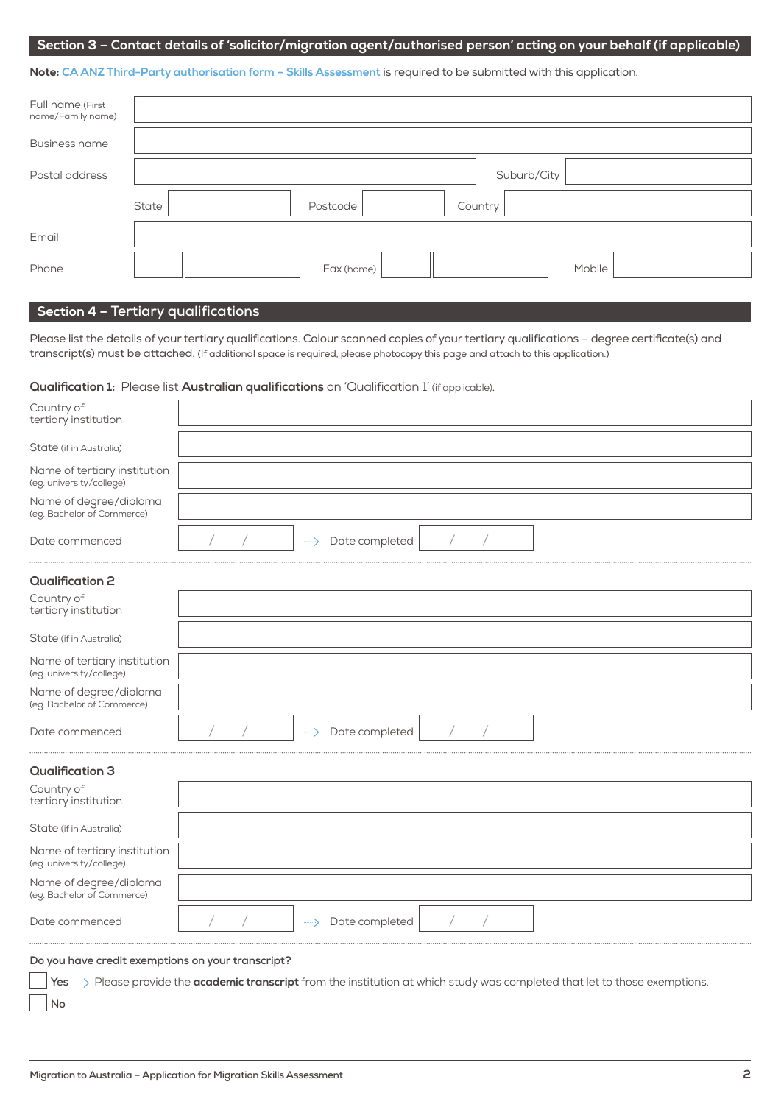#### **Section 3 – Contact details of 'solicitor/migration agent/authorised person' acting on your behalf (if applicable)**

Note: **[CA ANZ Third-Party authorisation form – Skills Assessment](https://www.charteredaccountantsanz.com/-/media/3ff22b21dcd94135b4477e504e1e3942.ashx)** is required to be submitted with this application.

| Full name (First<br>name/Family name) |                              |
|---------------------------------------|------------------------------|
| <b>Business name</b>                  |                              |
| Postal address                        | Suburb/City                  |
|                                       | Postcode<br>State<br>Country |
| Email                                 |                              |
| Phone                                 | Mobile<br>Fax (home)         |

### **Section 4 – Tertiary qualifications**

Please list the details of your tertiary qualifications. Colour scanned copies of your tertiary qualifications – degree certificate(s) and transcript(s) must be attached. (If additional space is required, please photocopy this page and attach to this application.)

#### **Qualification 1:** Please list **Australian qualifications** on 'Qualification 1' (if applicable).

| Country of<br>tertiary institution                       |  |                |  |  |  |
|----------------------------------------------------------|--|----------------|--|--|--|
| State (if in Australia)                                  |  |                |  |  |  |
| Name of tertiary institution<br>(eg. university/college) |  |                |  |  |  |
| Name of degree/diploma<br>(eg. Bachelor of Commerce)     |  |                |  |  |  |
| Date commenced                                           |  | Date completed |  |  |  |
| <b>Qualification 2</b>                                   |  |                |  |  |  |
| Country of<br>tertiary institution                       |  |                |  |  |  |
| State (if in Australia)                                  |  |                |  |  |  |
| Name of tertiary institution<br>(eg. university/college) |  |                |  |  |  |
| Name of degree/diploma<br>(eg. Bachelor of Commerce)     |  |                |  |  |  |
| Date commenced                                           |  | Date completed |  |  |  |
| <b>Qualification 3</b>                                   |  |                |  |  |  |
| Country of<br>tertiary institution                       |  |                |  |  |  |
| State (if in Australia)                                  |  |                |  |  |  |
| Name of tertiary institution<br>(eg. university/college) |  |                |  |  |  |
| Name of degree/diploma<br>(eg. Bachelor of Commerce)     |  |                |  |  |  |
| Date commenced                                           |  | Date completed |  |  |  |

#### **Do you have credit exemptions on your transcript?**

**No**

Yes **Act Please provide the academic transcript** from the institution at which study was completed that let to those exemptions.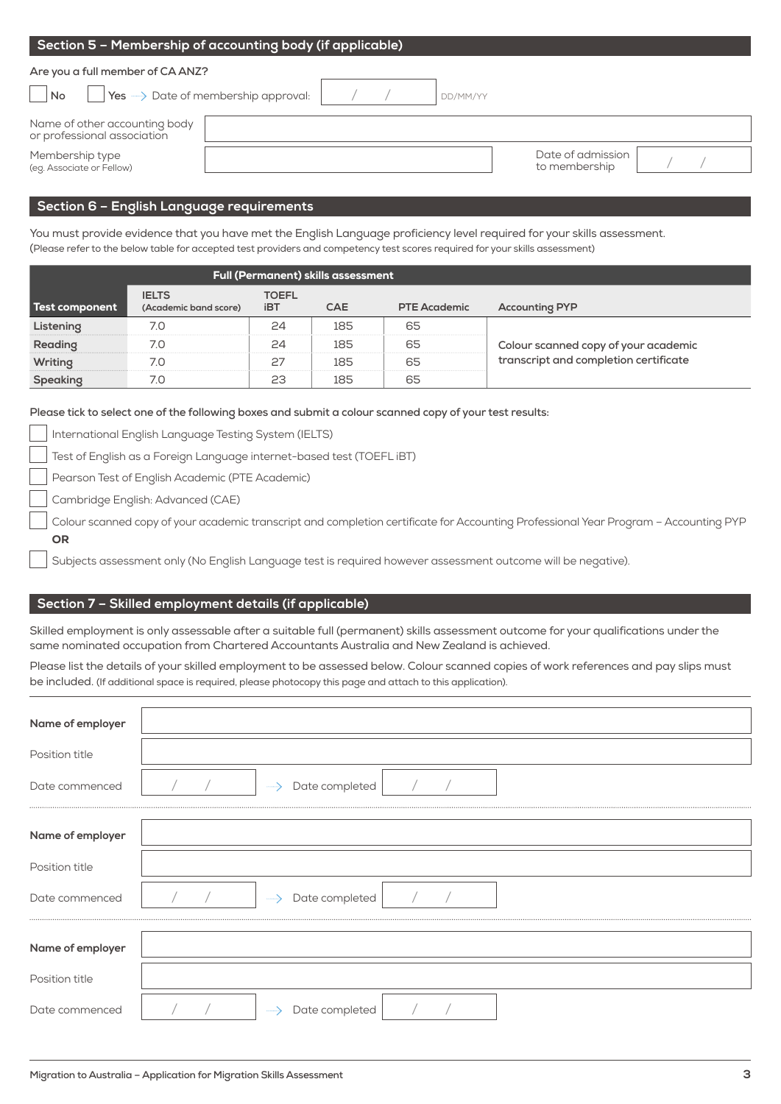| Section 5 - Membership of accounting body (if applicable)    |  |          |                                    |  |
|--------------------------------------------------------------|--|----------|------------------------------------|--|
| Are you a full member of CA ANZ?                             |  |          |                                    |  |
| Yes ->>>>>>> Date of membership approval:<br><b>No</b>       |  | DD/MM/YY |                                    |  |
| Name of other accounting body<br>or professional association |  |          |                                    |  |
| Membership type<br>(eg. Associate or Fellow)                 |  |          | Date of admission<br>to membership |  |
|                                                              |  |          |                                    |  |

## **Section 6 – English Language requirements**

You must provide evidence that you have met the English Language proficiency level required for your skills assessment. (Please refer to the below table for accepted test providers and competency test scores required for your skills assessment)

|                | <b>Full (Permanent) skills assessment</b> |                     |            |                     |                                       |  |  |  |
|----------------|-------------------------------------------|---------------------|------------|---------------------|---------------------------------------|--|--|--|
| Test component | <b>IELTS</b><br>(Academic band score)     | TOEFL<br><b>iBT</b> | <b>CAE</b> | <b>PTE Academic</b> | <b>Accounting PYP</b>                 |  |  |  |
|                |                                           |                     | 185        | 65                  |                                       |  |  |  |
|                |                                           |                     |            |                     | Colour scanned copy of your academic  |  |  |  |
| Writino        |                                           |                     | 185        |                     | transcript and completion certificate |  |  |  |
|                |                                           |                     |            |                     |                                       |  |  |  |

**Please tick to select one of the following boxes and submit a colour scanned copy of your test results:**

International English Language Testing System (IELTS)

Test of English as a Foreign Language internet-based test (TOEFL iBT)

Pearson Test of English Academic (PTE Academic)

Cambridge English: Advanced (CAE)

 Colour scanned copy of your academic transcript and completion certificate for Accounting Professional Year Program – Accounting PYP OR

Subjects assessment only (No English Language test is required however assessment outcome will be negative).

#### **Section 7 – Skilled employment details (if applicable)**

Skilled employment is only assessable after a suitable full (permanent) skills assessment outcome for your qualifications under the same nominated occupation from Chartered Accountants Australia and New Zealand is achieved.

Please list the details of your skilled employment to be assessed below. Colour scanned copies of work references and pay slips must be included. (If additional space is required, please photocopy this page and attach to this application).

| Name of employer |                                     |  |
|------------------|-------------------------------------|--|
| Position title   |                                     |  |
| Date commenced   | Date completed                      |  |
| Name of employer |                                     |  |
|                  |                                     |  |
| Position title   |                                     |  |
| Date commenced   | -----> Date completed               |  |
|                  |                                     |  |
| Name of employer |                                     |  |
| Position title   |                                     |  |
| Date commenced   | Date completed<br>$\longrightarrow$ |  |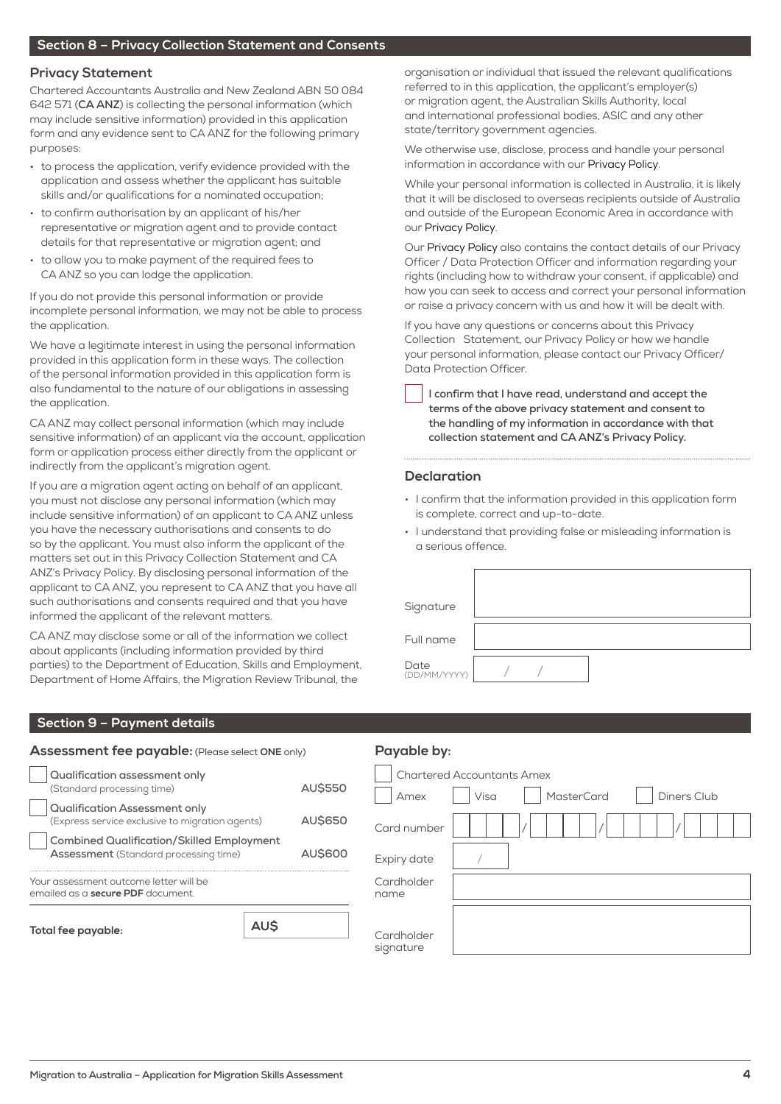#### **Privacy Statement**

Chartered Accountants Australia and New Zealand ABN 50 084 642 571 (**CA ANZ**) is collecting the personal information (which may include sensitive information) provided in this application form and any evidence sent to CA ANZ for the following primary purposes:

- to process the application, verify evidence provided with the application and assess whether the applicant has suitable skills and/or qualifications for a nominated occupation;
- to confirm authorisation by an applicant of his/her representative or migration agent and to provide contact details for that representative or migration agent; and
- to allow you to make payment of the required fees to CA ANZ so you can lodge the application.

If you do not provide this personal information or provide incomplete personal information, we may not be able to process the application.

We have a legitimate interest in using the personal information provided in this application form in these ways. The collection of the personal information provided in this application form is also fundamental to the nature of our obligations in assessing the application.

CA ANZ may collect personal information (which may include sensitive information) of an applicant via the account, application form or application process either directly from the applicant or indirectly from the applicant's migration agent.

If you are a migration agent acting on behalf of an applicant, you must not disclose any personal information (which may include sensitive information) of an applicant to CA ANZ unless you have the necessary authorisations and consents to do so by the applicant. You must also inform the applicant of the matters set out in this Privacy Collection Statement and CA ANZ's Privacy Policy. By disclosing personal information of the applicant to CA ANZ, you represent to CA ANZ that you have all such authorisations and consents required and that you have informed the applicant of the relevant matters.

CA ANZ may disclose some or all of the information we collect about applicants (including information provided by third parties) to the Department of Education, Skills and Employment, Department of Home Affairs, the Migration Review Tribunal, the

organisation or individual that issued the relevant qualifications referred to in this application, the applicant's employer(s) or migration agent, the Australian Skills Authority, local and international professional bodies, ASIC and any other state/territory government agencies.

We otherwise use, disclose, process and handle your personal information in accordance with our [Privacy Policy.](https://www.charteredaccountantsanz.com/privacy-policy )

While your personal information is collected in Australia, it is likely that it will be disclosed to overseas recipients outside of Australia and outside of the European Economic Area in accordance with our [Privacy Policy](https://www.charteredaccountantsanz.com/privacy-policy ).

Our [Privacy Policy](https://www.charteredaccountantsanz.com/privacy-policy ) also contains the contact details of our Privacy Officer / Data Protection Officer and information regarding your rights (including how to withdraw your consent, if applicable) and how you can seek to access and correct your personal information or raise a privacy concern with us and how it will be dealt with.

If you have any questions or concerns about this Privacy Collection Statement, our Privacy Policy or how we handle your personal information, please contact our Privacy Officer/ Data Protection Officer.

**I confirm that I have read, understand and accept the terms of the above privacy statement and consent to the handling of my information in accordance with that collection statement and CA ANZ's Privacy Policy.**

#### **Declaration**

- I confirm that the information provided in this application form is complete, correct and up-to-date.
- I understand that providing false or misleading information is a serious offence.

| Signature            |  |  |  |  |
|----------------------|--|--|--|--|
| Full name            |  |  |  |  |
| Date<br>(DD/MM/YYYY) |  |  |  |  |

#### **Section 9 – Payment details**

| Assessment fee payable: (Please select ONE only)                                                                  |  |  |  |
|-------------------------------------------------------------------------------------------------------------------|--|--|--|
| Qualification assessment only<br><b>AUS550</b><br>(Standard processing time)                                      |  |  |  |
| <b>Qualification Assessment only</b><br><b>AUS650</b><br>(Express service exclusive to migration agents)          |  |  |  |
| <b>Combined Qualification/Skilled Employment</b><br><b>AUS600</b><br><b>Assessment</b> (Standard processing time) |  |  |  |
| Your assessment outcome letter will be<br>emailed as a <b>secure PDF</b> document.                                |  |  |  |
| Total fee payable:                                                                                                |  |  |  |

#### **Payable by:**

|                         | <b>Chartered Accountants Amex</b>        |
|-------------------------|------------------------------------------|
| Amex                    | <b>MasterCard</b><br>Visa<br>Diners Club |
| Card number             |                                          |
| Expiry date             |                                          |
| Cardholder<br>name      |                                          |
|                         |                                          |
| Cardholder<br>signature |                                          |